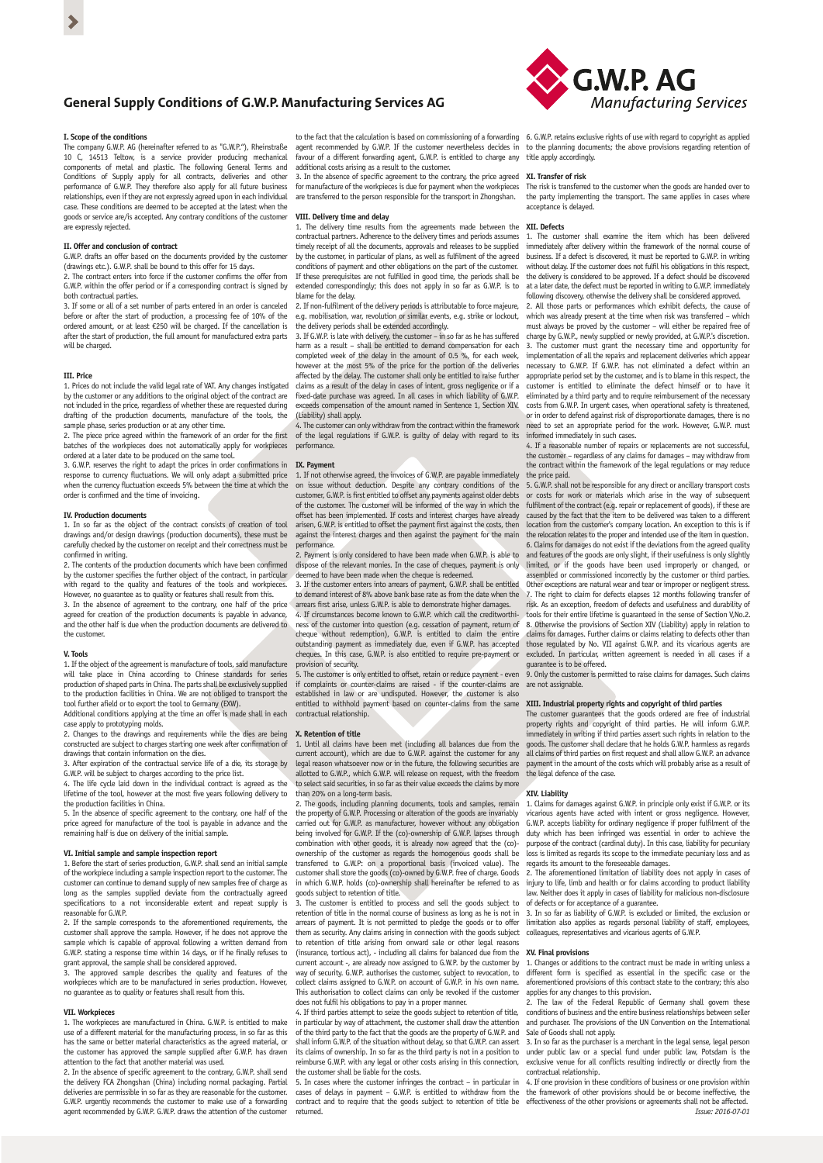# **General Supply Conditions of G.W.P. Manufacturing Services AG**

#### **I. Scope of the conditions**

The company G.W.P. AG (hereinafter referred to as "G.W.P."), Rheinstraße 10 C, 14513 Teltow, is a service provider producing mechanical components of metal and plastic. The following General Terms and Conditions of Supply apply for all contracts, deliveries and other performance of G.W.P. They therefore also apply for all future business relationships, even if they are not expressly agreed upon in each individual case. These conditions are deemed to be accepted at the latest when the goods or service are/is accepted. Any contrary conditions of the customer are expressly rejected.

## **II. Offer and conclusion of contract**

G.W.P. drafts an offer based on the documents provided by the customer (drawings etc.). G.W.P. shall be bound to this offer for 15 days. 2. The contract enters into force if the customer confirms the offer from

G.W.P. within the offer period or if a corresponding contract is signed by both contractual parties. 3. If some or all of a set number of parts entered in an order is canceled

before or after the start of production, a processing fee of 10% of the  $\frac{1}{2}$  ordered amount, or at least  $\epsilon$ 250 will be charged. If the cancellation is after the start of production, the full amount for manufactured extra parts will be charged.

#### **III. Price**

1. Prices do not include the valid legal rate of VAT. Any changes instigated by the customer or any additions to the original object of the contract are not included in the price, regardless of whether these are requested during drafting of the production documents, manufacture of the tools, the sample phase, series production or at any other time.

2. The piece price agreed within the framework of an order for the first batches of the workpieces does not automatically apply for workpieces

ordered at a later date to be produced on the same tool. 3. G.W.P. reserves the right to adapt the prices in order confirmations in response to currency fluctuations. We will only adapt a submitted price when the currency fluctuation exceeds 5% between the time at which the order is confirmed and the time of invoicing.

#### **IV. Production documents**

1. In so far as the object of the contract consists of creation of tool drawings and/or design drawings (production documents), these must be carefully checked by the customer on receipt and their correctness must be confirmed in writing.

2. The contents of the production documents which have been confirmed by the customer specifies the further object of the contract, in particular with regard to the quality and features of the tools and workpieces. However, no guarantee as to quality or features shall result from this.

3. In the absence of agreement to the contrary, one half of the price agreed for creation of the production documents is payable in adv and the other half is due when the production documents are delivered to the customer.

## **V. Tools**

1. If the object of the agreement is manufacture of tools, said manufacture will take place in China according to Chinese standards for ser production of shaped parts in China. The parts shall be exclusively supplied to the production facilities in China. We are not obliged to transport the tool further afield or to export the tool to Germany (EXW). Additional conditions applying at the time an offer is made shall in each

case apply to prototyping molds. 2. Changes to the drawings and requirements while the dies are being

constructed are subject to charges starting one week after confirmation of drawings that contain information on the dies.

3. After expiration of the contractual service life of a die, its storage by

G.W.P. will be subject to charges according to the price list. 4. The life cycle laid down in the individual contract is agreed as the lifetime of the tool, however at the most five years following delivery to the production facilities in China.

5. In the absence of specific agreement to the contrary, one half of the price agreed for manufacture of the tool is payable in advance and the remaining half is due on delivery of the initial sample.

#### **VI. Initial sample and sample inspection report**

1. Before the start of series production, G.W.P. shall send an initial sample If the workpiece including a sample inspection report to the customer. The customer can continue to demand supply of new samples free of charge as long as the samples supplied deviate from the contractually agreed specifications to a not inconsiderable extent and repeat supply is reasonable for G.W.P.

2. If the sample corresponds to the aforementioned requirements, the customer shall approve the sample. However, if he does not approve the sample which is capable of approval following a written demand from G.W.P. stating a response time within 14 days, or if he finally refuses to grant approval, the sample shall be considered approved.

3. The approved sample describes the quality and features of the workpieces which are to be manufactured in series production. However, no quarantee as to quality or features shall result from this.

### **VII. Workpieces**

1. The workpieces are manufactured in China. G.W.P. is entitled to make use of a different material for the manufacturing process, in so far as this has the same or better material characteristics as the agreed material, or the customer has approved the sample supplied after G.W.P. has drawn attention to the fact that another material was used.

2. In the absence of specific agreement to the contrary, G.W.P. shall send the delivery FCA Zhongshan (China) including normal packaging. Partial deliveries are permissible in so far as they are reasonable for the customer. G.W.P. urgently recommends the customer to make use of a forwarding agent recommended by G.W.P. G.W.P. draws the attention of the customer

to the fact that the calculation is based on commissioning of a forwarding 6. G.W.P. retains exclusive rights of use with regard to copyright as applied agent recommended by G.W.P. If the customer nevertheless decides in favour of a different forwarding agent, G.W.P. is entitled to charge any additional costs arising as a result to the customer. title apply accordingly.

3. In the absence of specific agreement to the contrary, the price agreed for manufacture of the workpieces is due for payment when the workpieces **XI. Transfer of risk** are transferred to the person responsible for the transport in Zhongshan.

### **VIII. Delivery time and delay**

1. The delivery time results from the agreements made between the contractual partners. Adherence to the delivery times and periods assumes **XII. Defects** timely receipt of all the documents, approvals and releases to be supplied by the customer, in particular of plans, as well as fulfilment of the agreed conditions of payment and other obligations on the part of the customer. If these prerequisites are not fulfilled in good time, the periods shall be extended correspondingly; this does not apply in so far as G.W.P. is to blame for the delay.

2. If non-fulfilment of the delivery periods is attributable to force maje e.g. mobilisation, war, revolution or similar events, e.g. strike or lockout, the delivery periods shall be extended accordingly.

3. If G.W.P. is late with delivery, the customer – in so far as he has suffered harm as a result – shall be entitled to demand compensation for each completed week of the delay in the amount of 0.5 %, for each week, however at the most 5% of the price for the portion of the deliveries affected by the delay. The customer shall only be entitled to raise further claims as a result of the delay in cases of intent, gross negligence or if a fixed-date purchase was agreed. In all cases in which liability of G.W.P. exceeds compensation of the amount named in Sentence 1, Section XIV. (Liability) shall apply.

4. The customer can only withdraw from the contract within the framework of the legal regulations if G.W.P. is guilty of delay with regard to its performance.

#### **IX. Payment**

1. If not otherwise agreed, the invoices of G.W.P. are payable immediately on issue without deduction. Despite any contrary conditions of the customer, G.W.P. is first entitled to offset any payments against older debts of the customer. The customer will be informed of the way in which the offset has been implemented. If costs and interest charges have already arisen, G.W.P. is entitled to offset the payment first against the costs, then against the interest charges and then against the payment for the main performance.

2. Payment is only considered to have been made when G.W.P. is able to dispose of the relevant monies. In the case of cheques, payment is only emed to have been made when the cheque is redeemed.

3. If the customer enters into arrears of payment, G.W.P. shall be entitled to demand interest of 8% above bank base rate as from the date when the arrears first arise, unless G.W.P. is able to demonstrate higher damages. 4. If circumstances become known to G.W.P. which call the creditworthiness of the customer into question (e.g. cessation of payment, return of cheque without redemption), G.W.P. is entitled to claim the entire outstanding payment as immediately due, even if G.W.P. has accepted cheques. In this case, G.W.P. is also entitled to require pre-payment or provision of security.

The customer is only entitled to offset, retain or reduce payment - even if complaints or counter-claims are raised - if the counter-claims are established in law or are undisputed. However, the customer is also entitled to withhold payment based on counter-claims from the same contractual relationship.

#### **X. Retention of title**

1. Until all claims have been met (including all balances due from the current account), which are due to G.W.P. against the customer for any legal reason whatsoever now or in the future, the following securities are allotted to G.W.P., which G.W.P. will release on request, with the freedom to select said securities, in so far as their value exceeds the claims by more than 20% on a long-term basis.

2. The goods, including planning documents, tools and samples, remain the property of G.W.P. Processing or alteration of the goods are invariably carried out for G.W.P. as manufacturer, however without any obligation being involved for G.W.P. If the (co)-ownership of G.W.P. lapses through combination with other goods, it is already now agreed that the (co) ownership of the customer as regards the homogenous goods shall be transferred to G.W.P: on a proportional basis (invoiced value). The customer shall store the goods (co)-owned by G.W.P. free of charge. Goods in which G.W.P. holds (co)-ownership shall hereinafter be referred to as goods subject to retention of title.

3. The customer is entitled to process and sell the goods subject to retention of title in the normal course of business as long as he is not in arrears of payment. It is not permitted to pledge the goods or to offer them as security. Any claims arising in connection with the goods subject to retention of title arising from onward sale or other legal reasons surance, tortious  $act$ ), - including all claims for balanced due from the current account -, are already now assigned to G.W.P. by the customer by way of security. G.W.P. authorises the customer, subject to revocation, to collect claims assigned to G.W.P. on account of G.W.P. in his own name. This authorisation to collect claims can only be revoked if the customer does not fulfil his obligations to pay in a proper manner. 4. If third parties attempt to seize the goods subject to retention of title,

in particular by way of attachment, the customer shall draw the attention of the third party to the fact that the goods are the property of G.W.P. and shall inform G.W.P. of the situation without delay, so that G.W.P. can assert its claims of ownership. In so far as the third party is not in a position to reimburse G.W.P. with any legal or other costs arising in this connection, the customer shall be liable for the costs.

5. In cases where the customer infringes the contract – in particular in cases of delays in payment – G.W.P. is entitled to withdraw from the contract and to require that the goods subject to retention of title be returned.



to the planning documents; the above provisions regarding retention of

The risk is transferred to the customer when the goods are handed over to the party implementing the transport. The same applies in cases where acceptance is delayed.

1. The customer shall examine the item which has been delivered immediately after delivery within the framework of the normal course of business. If a defect is discovered, it must be reported to G.W.P. in writing without delay. If the customer does not fulfil his obligations in this respect, the delivery is considered to be approved. If a defect should be discovered at a later date, the defect must be reported in writing to G.W.P. immediately

following discovery, otherwise the delivery shall be considered approved. 2. All those parts or performances which exhibit defects, the cause of which was already present at the time when risk was transferred – which must always be proved by the customer – will either be repaired free of charge by G.W.P., newly supplied or newly provided, at G.W.P.'s discretion. 3. The customer must grant the necessary time and opportunity for implementation of all the repairs and replacement deliveries which appear necessary to G.W.P. If G.W.P. has not eliminated a defect within an appropriate period set by the customer, and is to blame in this respect, the customer is entitled to eliminate the defect himself or to have it eliminated by a third party and to require reimbursement of the necessary costs from G.W.P. In urgent cases, when operational safety is threatened, or in order to defend against risk of disproportionate damages, there is no ed to set an appropriate period for the work. However, G.W.P. must informed immediately in such cases.

4. If a reasonable number of repairs or replacements are not successful, the customer – regardless of any claims for damages – may withdraw from the contract within the framework of the legal regulations or may reduce

the price paid. 5. G.W.P. shall not be responsible for any direct or ancillary transport costs costs for work or materials which arise in the way of subsequent fulfilment of the contract (e.g. repair or replacement of goods), if these are caused by the fact that the item to be delivered was taken to a different location from the customer's company location. An exception to this is if the relocation relates to the proper and intended use of the item in question. 6. Claims for damages do not exist if the deviations from the agreed quality and features of the goods are only slight, if their usefulness is only slightly limited, or if the goods have been used improperly or changed, or assembled or commissioned incorrectly by the customer or third parties. Other exceptions are natural wear and tear or improper or negligent stress. 7. The right to claim for defects elapses 12 months following transfer of risk. As an exception, freedom of defects and usefulness and durability of tools for their entire lifetime is guaranteed in the sense of Section V,No.2. 8. Otherwise the provisions of Section XIV (Liability) apply in relation to claims for damages. Further claims or claims relating to defects other than those regulated by No. VII against G.W.P. and its vicarious agents are excluded. In particular, written agreement is needed in all cases if a guarantee is to be offered.

9. Only the customer is permitted to raise claims for damages. Such claims are not assignable.

# **XIII. Industrial property rights and copyright of third parties** The customer guarantees that the goods ordered are free of industrial

property rights and copyright of third parties. He will inform G.W.P. immediately in writing if third parties assert such rights in relation to the goods. The customer shall declare that he holds G.W.P. harmless as regards all claims of third parties on first request and shall allow G.W.P. an advance payment in the amount of the costs which will probably arise as a result of the legal defence of the case.

## **XIV. Liability**

1. Claims for damages against G.W.P. in principle only exist if G.W.P. or its vicarious agents have acted with intent or gross negligence. However, G.W.P. accepts liability for ordinary negligence if proper fulfilment of the duty which has been infringed was essential in order to achieve the purpose of the contract (cardinal duty). In this case, liability for pecuniary loss is limited as regards its scope to the immediate pecuniary loss and as regards its amount to the foreseeable damages.

2. The aforementioned limitation of liability does not apply in cases of injury to life, limb and health or for claims according to product liability law. Neither does it apply in cases of liability for malicious non-disclosure

of defects or for acceptance of a guarantee. 3. In so far as liability of G.W.P. is excluded or limited, the exclusion or limitation also applies as regards personal liability of staff, employees, colleagues, representatives and vicarious agents of G.W.P.

#### **XV. Final provisions**

1. Changes or additions to the contract must be made in writing unless a different form is specified as essential in the specific case or the aforementioned provisions of this contract state to the contrary; this also applies for any changes to this provision.

2. The law of the Federal Republic of Germany shall govern these conditions of business and the entire business relationships between seller and purchaser. The provisions of the UN Convention on the International Sale of Goods shall not apply.

3. In so far as the purchaser is a merchant in the legal sense, legal person under public law or a special fund under public law, Potsdam is the exclusive venue for all conflicts resulting indirectly or directly from the contractual relationship.

4. If one provision in these conditions of business or one provision within the framework of other provisions should be or become ineffective, the effectiveness of the other provisions or agreements shall not be affected. *Issue: 2016-07-01*